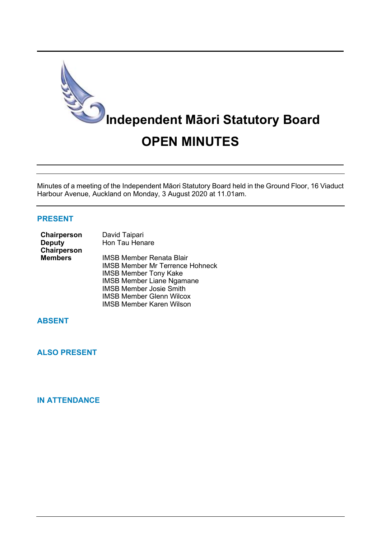

Minutes of a meeting of the Independent Māori Statutory Board held in the Ground Floor, 16 Viaduct Harbour Avenue, Auckland on Monday, 3 August 2020 at 11.01am.

### **PRESENT**

| <b>Chairperson</b> | David Taipari                          |
|--------------------|----------------------------------------|
| <b>Deputy</b>      | Hon Tau Henare                         |
| Chairperson        |                                        |
| <b>Members</b>     | IMSB Member Renata Blair               |
|                    | <b>IMSB Member Mr Terrence Hohneck</b> |
|                    | <b>IMSB Member Tony Kake</b>           |
|                    | <b>IMSB Member Liane Ngamane</b>       |
|                    | <b>IMSB Member Josie Smith</b>         |
|                    | <b>IMSB Member Glenn Wilcox</b>        |
|                    |                                        |

IMSB Member Karen Wilson

# **ABSENT**

**ALSO PRESENT**

## **IN ATTENDANCE**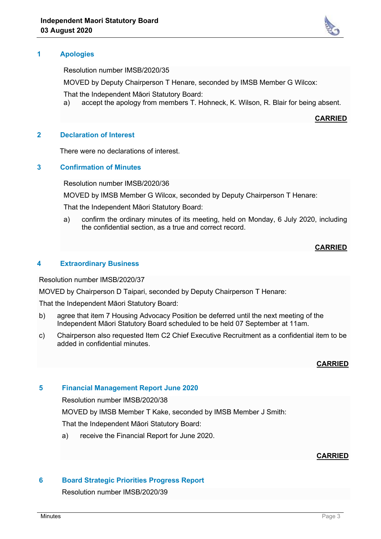

Resolution number IMSB/2020/35

MOVED by Deputy Chairperson T Henare, seconded by IMSB Member G Wilcox:

That the Independent Māori Statutory Board:

a) accept the apology from members T. Hohneck, K. Wilson, R. Blair for being absent.

**CARRIED**

#### **2 Declaration of Interest**

There were no declarations of interest.

#### **3 Confirmation of Minutes**

Resolution number IMSB/2020/36

MOVED by IMSB Member G Wilcox, seconded by Deputy Chairperson T Henare:

That the Independent Māori Statutory Board:

a) confirm the ordinary minutes of its meeting, held on Monday, 6 July 2020, including the confidential section, as a true and correct record.

### **CARRIED**

### **4 Extraordinary Business**

Resolution number IMSB/2020/37

MOVED by Chairperson D Taipari, seconded by Deputy Chairperson T Henare:

That the Independent Māori Statutory Board:

- b) agree that item 7 Housing Advocacy Position be deferred until the next meeting of the Independent Māori Statutory Board scheduled to be held 07 September at 11am.
- c) Chairperson also requested Item C2 Chief Executive Recruitment as a confidential item to be added in confidential minutes.

#### **CARRIED**

#### **5 Financial Management Report June 2020**

Resolution number IMSB/2020/38

MOVED by IMSB Member T Kake, seconded by IMSB Member J Smith:

That the Independent Māori Statutory Board:

a) receive the Financial Report for June 2020.

#### **CARRIED**

### **6 Board Strategic Priorities Progress Report**

Resolution number IMSB/2020/39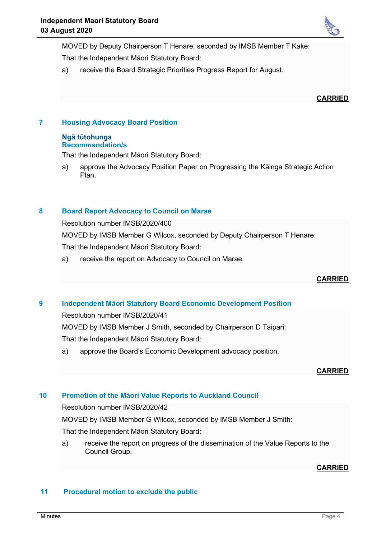

MOVED by Deputy Chairperson T Henare, seconded by IMSB Member T Kake: That the Independent Māori Statutory Board:

a) receive the Board Strategic Priorities Progress Report for August.

#### **CARRIED**

## **7 Housing Advocacy Board Position**

#### **Ngā tūtohunga Recommendation/s**

That the Independent Māori Statutory Board:

a) approve the Advocacy Position Paper on Progressing the Kāinga Strategic Action Plan.

### **8 Board Report Advocacy to Council on Marae**

Resolution number IMSB/2020/400

MOVED by IMSB Member G Wilcox, seconded by Deputy Chairperson T Henare: That the Independent Māori Statutory Board:

a) receive the report on Advocacy to Council on Marae.

### **CARRIED**

### **9 Independent Māori Statutory Board Economic Development Position**

Resolution number IMSB/2020/41

MOVED by IMSB Member J Smith, seconded by Chairperson D Taipari:

That the Independent Māori Statutory Board:

a) approve the Board's Economic Development advocacy position.

### **CARRIED**

## **10 Promotion of the Māori Value Reports to Auckland Council**

Resolution number IMSB/2020/42

MOVED by IMSB Member G Wilcox, seconded by IMSB Member J Smith:

That the Independent Māori Statutory Board:

a) receive the report on progress of the dissemination of the Value Reports to the Council Group.

### **CARRIED**

### **11 Procedural motion to exclude the public**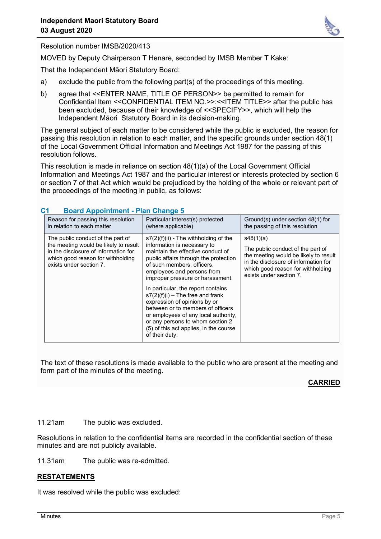

Resolution number IMSB/2020/413

MOVED by Deputy Chairperson T Henare, seconded by IMSB Member T Kake:

That the Independent Māori Statutory Board:

- a) exclude the public from the following part(s) of the proceedings of this meeting.
- b) agree that <<ENTER NAME, TITLE OF PERSON>> be permitted to remain for Confidential Item <<CONFIDENTIAL ITEM NO.>>:<<ITEM TITLE>> after the public has been excluded, because of their knowledge of <<SPECIFY>>, which will help the Independent Māori Statutory Board in its decision-making.

The general subject of each matter to be considered while the public is excluded, the reason for passing this resolution in relation to each matter, and the specific grounds under section 48(1) of the Local Government Official Information and Meetings Act 1987 for the passing of this resolution follows.

This resolution is made in reliance on section 48(1)(a) of the Local Government Official Information and Meetings Act 1987 and the particular interest or interests protected by section 6 or section 7 of that Act which would be prejudiced by the holding of the whole or relevant part of the proceedings of the meeting in public, as follows:

| Reason for passing this resolution<br>in relation to each matter                                                                                                                   | Particular interest(s) protected<br>(where applicable)                                                                                                                                                                                                                                                                                                                                                                                                                                                                                        | Ground(s) under section 48(1) for<br>the passing of this resolution                                                                                                                             |  |  |
|------------------------------------------------------------------------------------------------------------------------------------------------------------------------------------|-----------------------------------------------------------------------------------------------------------------------------------------------------------------------------------------------------------------------------------------------------------------------------------------------------------------------------------------------------------------------------------------------------------------------------------------------------------------------------------------------------------------------------------------------|-------------------------------------------------------------------------------------------------------------------------------------------------------------------------------------------------|--|--|
| The public conduct of the part of<br>the meeting would be likely to result<br>in the disclosure of information for<br>which good reason for withholding<br>exists under section 7. | $s7(2)(f)(ii)$ - The withholding of the<br>information is necessary to<br>maintain the effective conduct of<br>public affairs through the protection<br>of such members, officers,<br>employees and persons from<br>improper pressure or harassment.<br>In particular, the report contains<br>$s7(2)(f)(i)$ – The free and frank<br>expression of opinions by or<br>between or to members of officers<br>or employees of any local authority,<br>or any persons to whom section 2<br>(5) of this act applies, in the course<br>of their duty. | s48(1)(a)<br>The public conduct of the part of<br>the meeting would be likely to result<br>in the disclosure of information for<br>which good reason for withholding<br>exists under section 7. |  |  |

#### **C1 Board Appointment - Plan Change 5**

The text of these resolutions is made available to the public who are present at the meeting and form part of the minutes of the meeting.

#### **CARRIED**

#### 11.21am The public was excluded.

Resolutions in relation to the confidential items are recorded in the confidential section of these minutes and are not publicly available.

11.31am The public was re-admitted.

### **RESTATEMENTS**

It was resolved while the public was excluded: